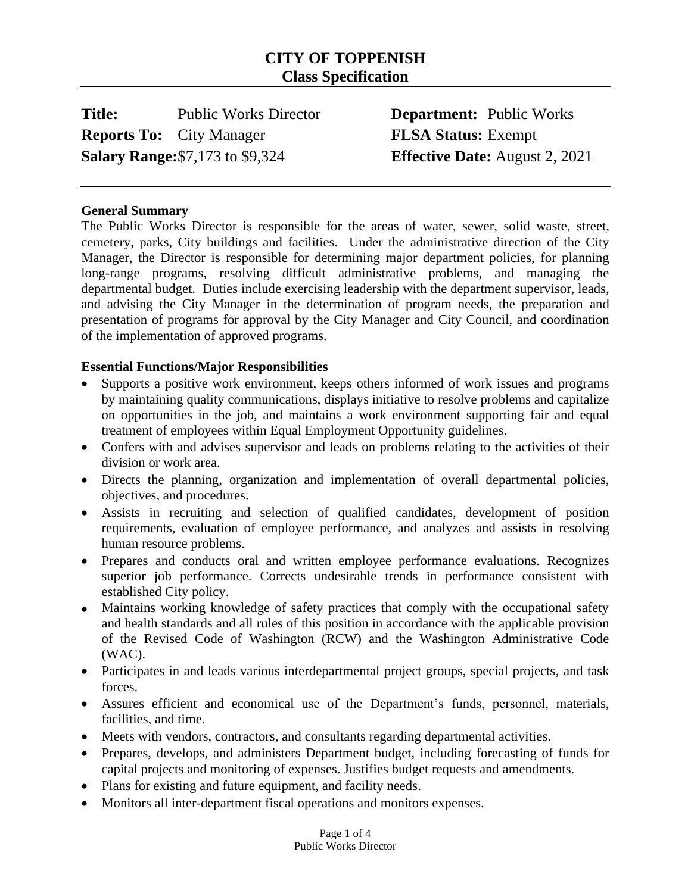# **CITY OF TOPPENISH Class Specification**

**Title:** Public Works Director **Department:** Public Works **Reports To:** City Manager **FLSA Status:** Exempt **Salary Range:**\$7,173 to \$9,324 **Effective Date:** August 2, 2021

#### **General Summary**

The Public Works Director is responsible for the areas of water, sewer, solid waste, street, cemetery, parks, City buildings and facilities. Under the administrative direction of the City Manager, the Director is responsible for determining major department policies, for planning long-range programs, resolving difficult administrative problems, and managing the departmental budget. Duties include exercising leadership with the department supervisor, leads, and advising the City Manager in the determination of program needs, the preparation and presentation of programs for approval by the City Manager and City Council, and coordination of the implementation of approved programs.

#### **Essential Functions/Major Responsibilities**

- Supports a positive work environment, keeps others informed of work issues and programs by maintaining quality communications, displays initiative to resolve problems and capitalize on opportunities in the job, and maintains a work environment supporting fair and equal treatment of employees within Equal Employment Opportunity guidelines.
- Confers with and advises supervisor and leads on problems relating to the activities of their division or work area.
- Directs the planning, organization and implementation of overall departmental policies, objectives, and procedures.
- Assists in recruiting and selection of qualified candidates, development of position requirements, evaluation of employee performance, and analyzes and assists in resolving human resource problems.
- Prepares and conducts oral and written employee performance evaluations. Recognizes superior job performance. Corrects undesirable trends in performance consistent with established City policy.
- Maintains working knowledge of safety practices that comply with the occupational safety and health standards and all rules of this position in accordance with the applicable provision of the Revised Code of Washington (RCW) and the Washington Administrative Code (WAC).
- Participates in and leads various interdepartmental project groups, special projects, and task forces.
- Assures efficient and economical use of the Department's funds, personnel, materials, facilities, and time.
- Meets with vendors, contractors, and consultants regarding departmental activities.
- Prepares, develops, and administers Department budget, including forecasting of funds for capital projects and monitoring of expenses. Justifies budget requests and amendments.
- Plans for existing and future equipment, and facility needs.
- Monitors all inter-department fiscal operations and monitors expenses.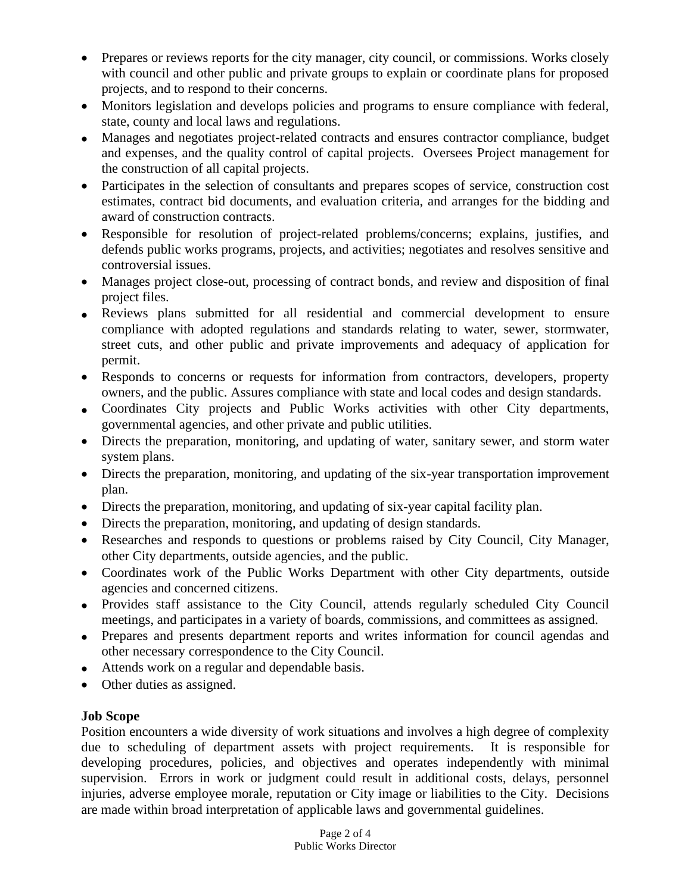- Prepares or reviews reports for the city manager, city council, or commissions. Works closely with council and other public and private groups to explain or coordinate plans for proposed projects, and to respond to their concerns.
- Monitors legislation and develops policies and programs to ensure compliance with federal, state, county and local laws and regulations.
- Manages and negotiates project-related contracts and ensures contractor compliance, budget and expenses, and the quality control of capital projects. Oversees Project management for the construction of all capital projects.
- Participates in the selection of consultants and prepares scopes of service, construction cost estimates, contract bid documents, and evaluation criteria, and arranges for the bidding and award of construction contracts.
- Responsible for resolution of project-related problems/concerns; explains, justifies, and defends public works programs, projects, and activities; negotiates and resolves sensitive and controversial issues.
- Manages project close-out, processing of contract bonds, and review and disposition of final project files.
- Reviews plans submitted for all residential and commercial development to ensure compliance with adopted regulations and standards relating to water, sewer, stormwater, street cuts, and other public and private improvements and adequacy of application for permit.
- Responds to concerns or requests for information from contractors, developers, property owners, and the public. Assures compliance with state and local codes and design standards.
- Coordinates City projects and Public Works activities with other City departments, governmental agencies, and other private and public utilities.
- Directs the preparation, monitoring, and updating of water, sanitary sewer, and storm water system plans.
- Directs the preparation, monitoring, and updating of the six-year transportation improvement plan.
- Directs the preparation, monitoring, and updating of six-year capital facility plan.
- Directs the preparation, monitoring, and updating of design standards.
- Researches and responds to questions or problems raised by City Council, City Manager, other City departments, outside agencies, and the public.
- Coordinates work of the Public Works Department with other City departments, outside agencies and concerned citizens.
- Provides staff assistance to the City Council, attends regularly scheduled City Council meetings, and participates in a variety of boards, commissions, and committees as assigned.
- Prepares and presents department reports and writes information for council agendas and other necessary correspondence to the City Council.
- Attends work on a regular and dependable basis.
- Other duties as assigned.

## **Job Scope**

Position encounters a wide diversity of work situations and involves a high degree of complexity due to scheduling of department assets with project requirements. It is responsible for developing procedures, policies, and objectives and operates independently with minimal supervision. Errors in work or judgment could result in additional costs, delays, personnel injuries, adverse employee morale, reputation or City image or liabilities to the City. Decisions are made within broad interpretation of applicable laws and governmental guidelines.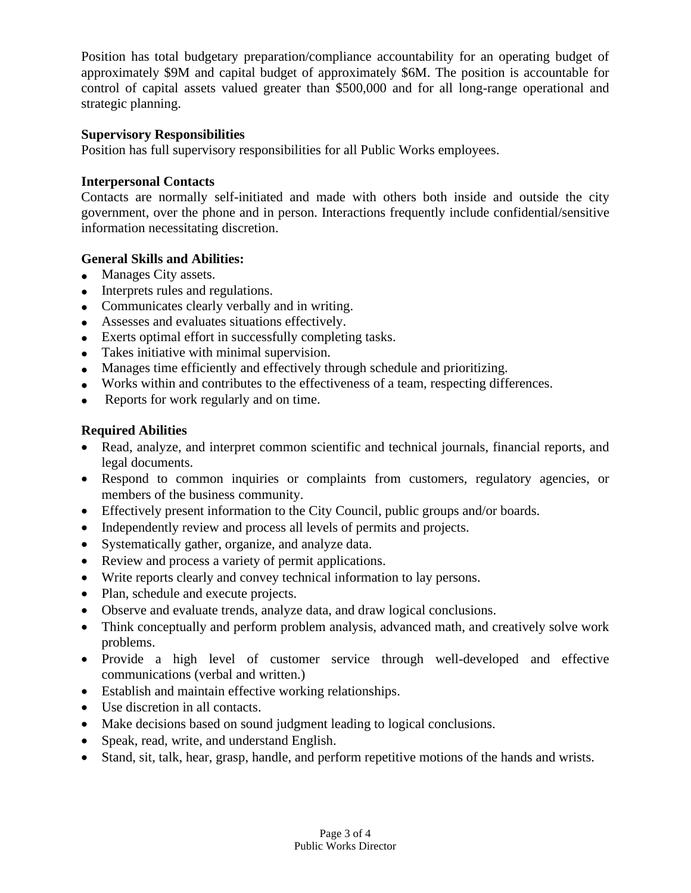Position has total budgetary preparation/compliance accountability for an operating budget of approximately \$9M and capital budget of approximately \$6M. The position is accountable for control of capital assets valued greater than \$500,000 and for all long-range operational and strategic planning.

#### **Supervisory Responsibilities**

Position has full supervisory responsibilities for all Public Works employees.

## **Interpersonal Contacts**

Contacts are normally self-initiated and made with others both inside and outside the city government, over the phone and in person. Interactions frequently include confidential/sensitive information necessitating discretion.

#### **General Skills and Abilities:**

- Manages City assets.
- Interprets rules and regulations.
- Communicates clearly verbally and in writing.
- Assesses and evaluates situations effectively.
- Exerts optimal effort in successfully completing tasks.
- Takes initiative with minimal supervision.
- Manages time efficiently and effectively through schedule and prioritizing.
- Works within and contributes to the effectiveness of a team, respecting differences.
- Reports for work regularly and on time.

## **Required Abilities**

- Read, analyze, and interpret common scientific and technical journals, financial reports, and legal documents.
- Respond to common inquiries or complaints from customers, regulatory agencies, or members of the business community.
- Effectively present information to the City Council, public groups and/or boards.
- Independently review and process all levels of permits and projects.
- Systematically gather, organize, and analyze data.
- Review and process a variety of permit applications.
- Write reports clearly and convey technical information to lay persons.
- Plan, schedule and execute projects.
- Observe and evaluate trends, analyze data, and draw logical conclusions.
- Think conceptually and perform problem analysis, advanced math, and creatively solve work problems.
- Provide a high level of customer service through well-developed and effective communications (verbal and written.)
- Establish and maintain effective working relationships.
- Use discretion in all contacts.
- Make decisions based on sound judgment leading to logical conclusions.
- Speak, read, write, and understand English.
- Stand, sit, talk, hear, grasp, handle, and perform repetitive motions of the hands and wrists.